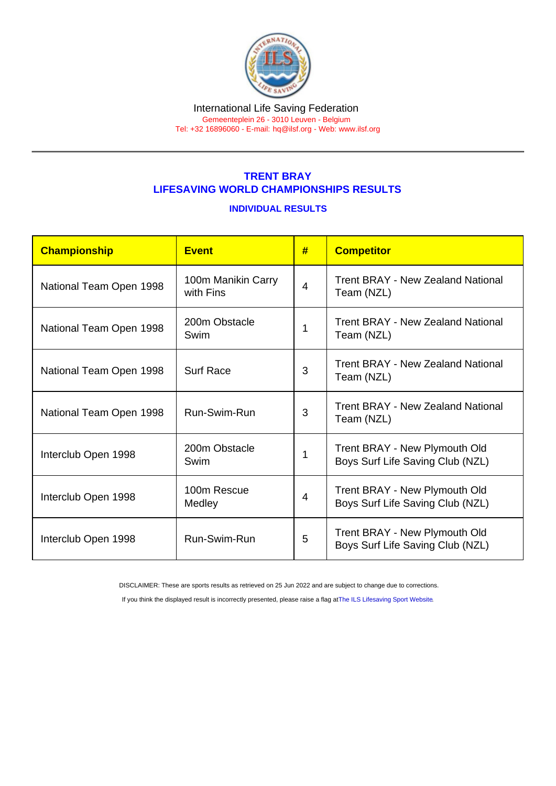#### International Life Saving Federation Gemeenteplein 26 - 3010 Leuven - Belgium

Tel: +32 16896060 - E-mail: [hq@ilsf.org](mailto:hq@ilsf.org) - Web: [www.ilsf.org](https://www.ilsf.org)

## TRENT BRAY LIFESAVING WORLD CHAMPIONSHIPS RESULTS

### INDIVIDUAL RESULTS

| <b>Championship</b>     | <b>Event</b>                    | #              | <b>Competitor</b>                                                 |
|-------------------------|---------------------------------|----------------|-------------------------------------------------------------------|
| National Team Open 1998 | 100m Manikin Carry<br>with Fins | $\overline{4}$ | <b>Trent BRAY - New Zealand National</b><br>Team (NZL)            |
| National Team Open 1998 | 200m Obstacle<br>Swim           | 1              | <b>Trent BRAY - New Zealand National</b><br>Team (NZL)            |
| National Team Open 1998 | <b>Surf Race</b>                | 3              | <b>Trent BRAY - New Zealand National</b><br>Team (NZL)            |
| National Team Open 1998 | Run-Swim-Run                    | 3              | <b>Trent BRAY - New Zealand National</b><br>Team (NZL)            |
| Interclub Open 1998     | 200m Obstacle<br>Swim           | 1              | Trent BRAY - New Plymouth Old<br>Boys Surf Life Saving Club (NZL) |
| Interclub Open 1998     | 100m Rescue<br>Medley           | 4              | Trent BRAY - New Plymouth Old<br>Boys Surf Life Saving Club (NZL) |
| Interclub Open 1998     | Run-Swim-Run                    | 5              | Trent BRAY - New Plymouth Old<br>Boys Surf Life Saving Club (NZL) |

DISCLAIMER: These are sports results as retrieved on 25 Jun 2022 and are subject to change due to corrections.

If you think the displayed result is incorrectly presented, please raise a flag at [The ILS Lifesaving Sport Website.](https://sport.ilsf.org)